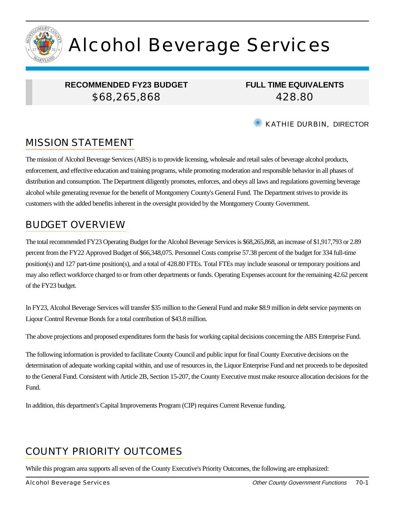

# Alcohol Beverage Services

## **RECOMMENDED FY23 BUDGET** \$68,265,868

**FULL TIME EQUIVALENTS** 428.80

#### ✺ KATHIE DURBIN, DIRECTOR

# MISSION STATEMENT

The mission of Alcohol Beverage Services (ABS) is to provide licensing, wholesale and retail sales of beverage alcohol products, enforcement, and effective education and training programs, while promoting moderation and responsible behavior in all phases of distribution and consumption. The Department diligently promotes, enforces, and obeys all laws and regulations governing beverage alcohol while generating revenue for the benefit of Montgomery County's General Fund. The Department strives to provide its customers with the added benefits inherent in the oversight provided by the Montgomery County Government.

## BUDGET OVERVIEW

The total recommended FY23 Operating Budget for the Alcohol Beverage Services is \$68,265,868, an increase of \$1,917,793 or 2.89 percent from the FY22 Approved Budget of \$66,348,075. Personnel Costs comprise 57.38 percent of the budget for 334 full-time position(s) and 127 part-time position(s), and a total of 428.80 FTEs. Total FTEs may include seasonal or temporary positions and may also reflect workforce charged to or from other departments or funds. Operating Expenses account for the remaining 42.62 percent of the FY23 budget.

In FY23, Alcohol Beverage Services will transfer \$35 million to the General Fund and make \$8.9 million in debt service payments on Liqour Control Revenue Bonds for a total contribution of \$43.8 million.

The above projections and proposed expenditures form the basis for working capital decisions concerning the ABS Enterprise Fund.

The following information is provided to facilitate County Council and public input for final County Executive decisions on the determination of adequate working capital within, and use of resources in, the Liquor Enterprise Fund and net proceeds to be deposited to the General Fund. Consistent with Article 2B, Section 15-207, the County Executive must make resource allocation decisions for the Fund.

In addition, this department's Capital Improvements Program (CIP) requires Current Revenue funding.

# COUNTY PRIORITY OUTCOMES

While this program area supports all seven of the County Executive's Priority Outcomes, the following are emphasized: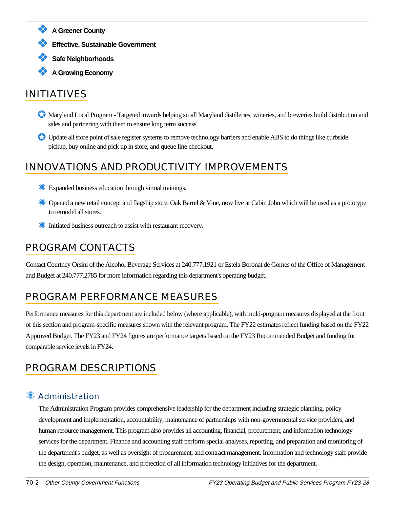- ❖ **A Greener County**
- ❖ **Effective, Sustainable Government**
- ❖ **Safe Neighborhoods**
- ❖ **A Growing Economy**

# INITIATIVES

- ✪ Maryland Local Program Targeted towards helping small Maryland distilleries, wineries, and breweries build distribution and sales and partnering with them to ensure long term success.
- ✪ Update all store point of sale register systems to remove technology barriers and enable ABS to do things like curbside pickup, buy online and pick up in store, and queue line checkout.

# INNOVATIONS AND PRODUCTIVITY IMPROVEMENTS

- **Expanded business education through virtual trainings.**
- **Example 2** Opened a new retail concept and flagship store, Oak Barrel & Vine, now live at Cabin John which will be used as a prototype to remodel all stores.
- ✹ Initiated business outreach to assist with restaurant recovery.

# PROGRAM CONTACTS

Contact Courtney Orsini of the Alcohol Beverage Services at 240.777.1921 or Estela Boronat de Gomes of the Office of Management and Budget at 240.777.2785 for more information regarding this department's operating budget.

# PROGRAM PERFORMANCE MEASURES

Performance measures for this department are included below (where applicable), with multi-program measures displayed at the front of this section and program-specific measures shown with the relevant program. The FY22 estimates reflect funding based on the FY22 Approved Budget. The FY23 and FY24 figures are performance targets based on the FY23 Recommended Budget and funding for comparable service levels in FY24.

# PROGRAM DESCRIPTIONS

## ✺ Administration

The Administration Program provides comprehensive leadership for the department including strategic planning, policy development and implementation, accountability, maintenance of partnerships with non-governmental service providers, and human resource management. This program also provides all accounting, financial, procurement, and information technology services for the department. Finance and accounting staff perform special analyses, reporting, and preparation and monitoring of the department's budget, as well as oversight of procurement, and contract management. Information and technology staff provide the design, operation, maintenance, and protection of all information technology initiatives for the department.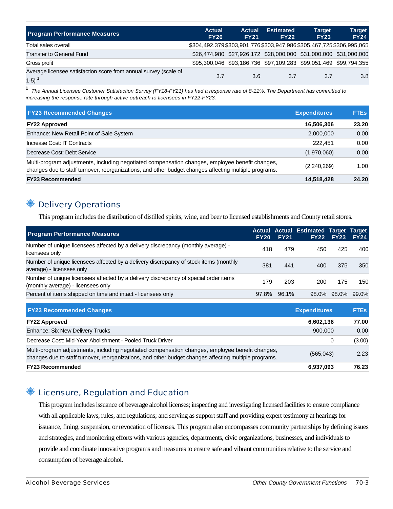| <b>Program Performance Measures</b>                                        | <b>Actual</b><br><b>FY20</b> | Actual<br><b>FY21</b> | <b>Estimated</b><br><b>FY22</b>                                       | <b>Target</b><br><b>FY23</b> | <b>Target</b><br><b>FY24</b> |
|----------------------------------------------------------------------------|------------------------------|-----------------------|-----------------------------------------------------------------------|------------------------------|------------------------------|
| Total sales overall                                                        |                              |                       | \$304,492,379 \$303,901,776 \$303,947,986 \$305,467,725 \$306,995,065 |                              |                              |
| <b>Transfer to General Fund</b>                                            |                              |                       | \$26,474,980 \$27,926,172 \$28,000,000 \$31,000,000 \$31,000,000      |                              |                              |
| Gross profit                                                               |                              |                       | \$95,300,046 \$93,186,736 \$97,109,283 \$99,051,469 \$99,794,355      |                              |                              |
| Average licensee satisfaction score from annual survey (scale of<br>$1-5)$ | 3.7                          | 3.6                   | 3.7                                                                   | 3.7                          | 3.8                          |

**1** The Annual Licensee Customer Satisfaction Survey (FY18-FY21) has had a response rate of 8-11%. The Department has committed to increasing the response rate through active outreach to licensees in FY22-FY23.

| <b>FY23 Recommended Changes</b>                                                                                                                                                                          | <b>Expenditures</b> | <b>FTEs</b> |
|----------------------------------------------------------------------------------------------------------------------------------------------------------------------------------------------------------|---------------------|-------------|
| <b>FY22 Approved</b>                                                                                                                                                                                     | 16,506,306          | 23.20       |
| Enhance: New Retail Point of Sale System                                                                                                                                                                 | 2,000,000           | 0.00        |
| Increase Cost: IT Contracts                                                                                                                                                                              | 222.451             | 0.00        |
| Decrease Cost: Debt Service                                                                                                                                                                              | (1,970,060)         | 0.00        |
| Multi-program adjustments, including negotiated compensation changes, employee benefit changes,<br>changes due to staff turnover, reorganizations, and other budget changes affecting multiple programs. | (2,240,269)         | 1.00        |
| <b>FY23 Recommended</b>                                                                                                                                                                                  | 14,518,428          | 24.20       |

#### **Delivery Operations**

This program includes the distribution of distilled spirits, wine, and beer to licensed establishments and County retail stores.

| <b>Program Performance Measures</b>                                                                                                                                                                      | <b>FY20</b> | <b>FY21</b> | <b>Actual Actual Estimated Target</b><br>FY22 | FY23        | <b>Target</b><br><b>FY24</b> |
|----------------------------------------------------------------------------------------------------------------------------------------------------------------------------------------------------------|-------------|-------------|-----------------------------------------------|-------------|------------------------------|
| Number of unique licensees affected by a delivery discrepancy (monthly average) -<br>licensees only                                                                                                      | 418         | 479         | 450                                           | 425         | 400                          |
| Number of unique licensees affected by a delivery discrepancy of stock items (monthly<br>average) - licensees only                                                                                       | 381         | 441         | 400                                           | 375         | 350                          |
| Number of unique licensees affected by a delivery discrepancy of special order items<br>(monthly average) - licensees only                                                                               | 179         | 203         | 200                                           | 175         | 150                          |
| Percent of items shipped on time and intact - licensees only                                                                                                                                             | 97.8%       | 96.1%       |                                               | 98.0% 98.0% | 99.0%                        |
| <b>FY23 Recommended Changes</b>                                                                                                                                                                          |             |             | <b>Expenditures</b>                           |             | <b>FTEs</b>                  |
| <b>FY22 Approved</b>                                                                                                                                                                                     |             |             | 6,602,136                                     |             | 77.00                        |
| <b>Enhance: Six New Delivery Trucks</b>                                                                                                                                                                  |             |             | 900,000                                       |             | 0.00                         |
| Decrease Cost: Mid-Year Abolishment - Pooled Truck Driver                                                                                                                                                |             |             |                                               | 0           | (3.00)                       |
| Multi-program adjustments, including negotiated compensation changes, employee benefit changes,<br>changes due to staff turnover, reorganizations, and other budget changes affecting multiple programs. |             |             | (565, 043)                                    |             | 2.23                         |
| <b>FY23 Recommended</b>                                                                                                                                                                                  |             |             | 6,937,093                                     |             | 76.23                        |

#### ✺ Licensure, Regulation and Education

This program includes issuance of beverage alcohol licenses; inspecting and investigating licensed facilities to ensure compliance with all applicable laws, rules, and regulations; and serving as support staff and providing expert testimony at hearings for issuance, fining, suspension, or revocation of licenses. This program also encompasses community partnerships by defining issues and strategies, and monitoring efforts with various agencies, departments, civic organizations, businesses, and individuals to provide and coordinate innovative programs and measures to ensure safe and vibrant communities relative to the service and consumption of beverage alcohol.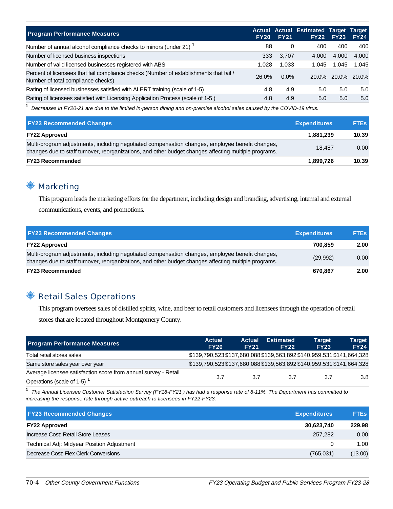| <b>Program Performance Measures</b>                                                                                          | <b>FY20</b> | <b>FY21</b> | Actual Actual Estimated Target Target | <b>FY22 FY23</b>  | <b>FY24</b> |
|------------------------------------------------------------------------------------------------------------------------------|-------------|-------------|---------------------------------------|-------------------|-------------|
| Number of annual alcohol compliance checks to minors (under 21) <sup>1</sup>                                                 | 88          | 0           | 400                                   | 400               | 400         |
| Number of licensed business inspections                                                                                      | 333         | 3,707       | 4.000                                 | 4.000             | 4.000       |
| Number of valid licensed businesses registered with ABS                                                                      | 1.028       | 1,033       | 1.045                                 | 1,045             | 1.045       |
| Percent of licensees that fail compliance checks (Number of establishments that fail /<br>Number of total compliance checks) | 26.0%       | $0.0\%$     |                                       | 20.0% 20.0% 20.0% |             |
| Rating of licensed businesses satisfied with ALERT training (scale of 1-5)                                                   | 4.8         | 4.9         | 5.0                                   | 5.0               | 5.0         |
| Rating of licensees satisfied with Licensing Application Process (scale of 1-5)                                              | 4.8         | 4.9         | 5.0                                   | 5.0               | 5.0         |

**1** Decreases in FY20-21 are due to the limited in-person dining and on-premise alcohol sales caused by the COVID-19 virus.

| <b>FY23 Recommended Changes</b>                                                                                                                                                                          | <b>Expenditures</b> | <b>FTEs</b> |
|----------------------------------------------------------------------------------------------------------------------------------------------------------------------------------------------------------|---------------------|-------------|
| <b>FY22 Approved</b>                                                                                                                                                                                     | 1,881,239           | 10.39       |
| Multi-program adjustments, including negotiated compensation changes, employee benefit changes,<br>changes due to staff turnover, reorganizations, and other budget changes affecting multiple programs. | 18.487              | 0.00        |
| <b>FY23 Recommended</b>                                                                                                                                                                                  | 1,899,726           | 10.39       |

#### ✺ Marketing

This program leads the marketing efforts for the department, including design and branding, advertising, internal and external communications, events, and promotions.

| <b>FY23 Recommended Changes</b>                                                                                                                                                                          | <b>Expenditures</b> | <b>FTEs</b> |
|----------------------------------------------------------------------------------------------------------------------------------------------------------------------------------------------------------|---------------------|-------------|
| <b>FY22 Approved</b>                                                                                                                                                                                     | 700.859             | 2.00        |
| Multi-program adjustments, including negotiated compensation changes, employee benefit changes,<br>changes due to staff turnover, reorganizations, and other budget changes affecting multiple programs. | (29,992)            | 0.00        |
| <b>FY23 Recommended</b>                                                                                                                                                                                  | 670.867             | 2.00        |

## **Retail Sales Operations**

This program oversees sales of distilled spirits, wine, and beer to retail customers and licensees through the operation of retail stores that are located throughout Montgomery County.

| <b>Program Performance Measures</b>                                                          | <b>Actual</b><br><b>FY20</b>                                          | <b>Actual</b><br><b>FY21</b> | <b>Estimated</b><br><b>FY22</b> | <b>Target</b><br><b>FY23</b> | <b>Target</b><br><b>FY24</b> |
|----------------------------------------------------------------------------------------------|-----------------------------------------------------------------------|------------------------------|---------------------------------|------------------------------|------------------------------|
| Total retail stores sales                                                                    | \$139,790,523 \$137,680,088 \$139,563,892 \$140,959,531 \$141,664,328 |                              |                                 |                              |                              |
| Same store sales year over year                                                              | \$139,790,523 \$137,680,088 \$139,563,892 \$140,959,531 \$141,664,328 |                              |                                 |                              |                              |
| Average licensee satisfaction score from annual survey - Retail<br>Operations (scale of 1-5) | 3.7                                                                   | 3.7                          | 3.7                             | 3.7                          | 3.8                          |

**1** The Annual Licensee Customer Satisfaction Survey (FY18-FY21 ) has had a response rate of 8-11%. The Department has committed to increasing the response rate through active outreach to licensees in FY22-FY23.

| <b>FY23 Recommended Changes</b>            | <b>Expenditures</b> | <b>FTEs</b> |
|--------------------------------------------|---------------------|-------------|
| <b>FY22 Approved</b>                       | 30,623,740          | 229.98      |
| Increase Cost: Retail Store Leases         | 257.282             | 0.00        |
| Technical Adj: Midyear Position Adjustment |                     | 1.00        |
| Decrease Cost: Flex Clerk Conversions      | (765,031)           | (13.00)     |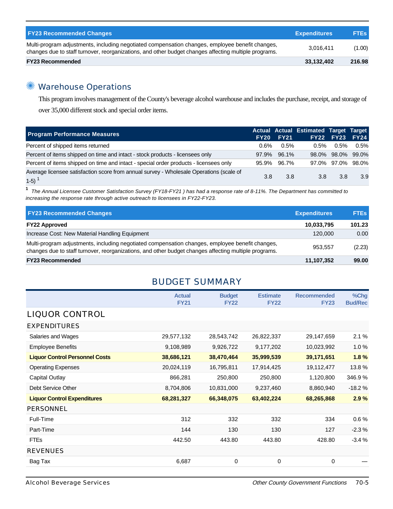| <b>FY23 Recommended Changes</b>                                                                                                                                                                          | <b>Expenditures</b> | <b>FTEs</b> |
|----------------------------------------------------------------------------------------------------------------------------------------------------------------------------------------------------------|---------------------|-------------|
| Multi-program adjustments, including negotiated compensation changes, employee benefit changes,<br>changes due to staff turnover, reorganizations, and other budget changes affecting multiple programs. | 3.016.411           | (1.00)      |
| <b>FY23 Recommended</b>                                                                                                                                                                                  | 33,132,402          | 216.98      |

## ✺ Warehouse Operations

This program involves management of the County's beverage alcohol warehouse and includes the purchase, receipt, and storage of over 35,000 different stock and special order items.

| <b>Program Performance Measures</b>                                                               | <b>FY20</b> | <b>FY21</b> | Actual Actual Estimated Target Target | FY22 FY23 FY24    |         |
|---------------------------------------------------------------------------------------------------|-------------|-------------|---------------------------------------|-------------------|---------|
| Percent of shipped items returned                                                                 | 0.6%        | $0.5\%$     | 0.5%                                  | $0.5\%$           | $0.5\%$ |
| Percent of items shipped on time and intact - stock products - licensees only                     |             | 97.9% 96.1% |                                       | 98.0% 98.0% 99.0% |         |
| Percent of items shipped on time and intact - special order products - licensees only             |             | 95.9% 96.7% |                                       | 97.0% 97.0% 98.0% |         |
| Average licensee satisfaction score from annual survey - Wholesale Operations (scale of<br>$1-5)$ | 3.8         | 3.8         | 3.8                                   | 3.8               | 3.9     |

**1** The Annual Licensee Customer Satisfaction Survey (FY18-FY21 ) has had a response rate of 8-11%. The Department has committed to increasing the response rate through active outreach to licensees in FY22-FY23.

| <b>FY23 Recommended Changes</b>                                                                                                                                                                          | <b>Expenditures</b> | <b>FTEs</b> |
|----------------------------------------------------------------------------------------------------------------------------------------------------------------------------------------------------------|---------------------|-------------|
| <b>FY22 Approved</b>                                                                                                                                                                                     | 10.033.795          | 101.23      |
| Increase Cost: New Material Handling Equipment                                                                                                                                                           | 120,000             | 0.00        |
| Multi-program adjustments, including negotiated compensation changes, employee benefit changes,<br>changes due to staff turnover, reorganizations, and other budget changes affecting multiple programs. | 953.557             | (2.23)      |
| <b>FY23 Recommended</b>                                                                                                                                                                                  | 11,107,352          | 99.00       |

## BUDGET SUMMARY

|                                       | <b>Actual</b><br><b>FY21</b> | <b>Budget</b><br><b>FY22</b> | <b>Estimate</b><br><b>FY22</b> | <b>Recommended</b><br><b>FY23</b> | %Chg<br><b>Bud/Rec</b> |
|---------------------------------------|------------------------------|------------------------------|--------------------------------|-----------------------------------|------------------------|
| <b>LIQUOR CONTROL</b>                 |                              |                              |                                |                                   |                        |
| <b>EXPENDITURES</b>                   |                              |                              |                                |                                   |                        |
| Salaries and Wages                    | 29,577,132                   | 28,543,742                   | 26,822,337                     | 29,147,659                        | 2.1%                   |
| <b>Employee Benefits</b>              | 9,108,989                    | 9,926,722                    | 9,177,202                      | 10,023,992                        | 1.0%                   |
| <b>Liquor Control Personnel Costs</b> | 38,686,121                   | 38,470,464                   | 35,999,539                     | 39,171,651                        | 1.8%                   |
| <b>Operating Expenses</b>             | 20,024,119                   | 16,795,811                   | 17,914,425                     | 19,112,477                        | 13.8%                  |
| Capital Outlay                        | 866,281                      | 250,800                      | 250,800                        | 1,120,800                         | 346.9%                 |
| Debt Service Other                    | 8,704,806                    | 10,831,000                   | 9,237,460                      | 8,860,940                         | $-18.2%$               |
| <b>Liquor Control Expenditures</b>    | 68,281,327                   | 66,348,075                   | 63,402,224                     | 68,265,868                        | 2.9%                   |
| <b>PERSONNEL</b>                      |                              |                              |                                |                                   |                        |
| Full-Time                             | 312                          | 332                          | 332                            | 334                               | $0.6\%$                |
| Part-Time                             | 144                          | 130                          | 130                            | 127                               | $-2.3%$                |
| <b>FTEs</b>                           | 442.50                       | 443.80                       | 443.80                         | 428.80                            | $-3.4%$                |
| <b>REVENUES</b>                       |                              |                              |                                |                                   |                        |
| Bag Tax                               | 6,687                        | 0                            | 0                              | 0                                 |                        |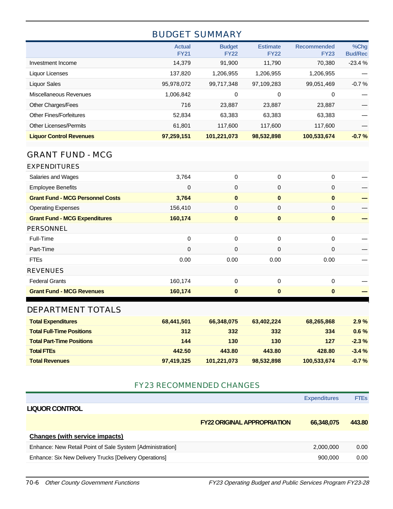## BUDGET SUMMARY

|                                | <b>Actual</b><br><b>FY21</b> | <b>Budget</b><br><b>FY22</b> | <b>Estimate</b><br><b>FY22</b> | <b>Recommended</b><br><b>FY23</b> | %Chg<br><b>Bud/Rec</b> |
|--------------------------------|------------------------------|------------------------------|--------------------------------|-----------------------------------|------------------------|
| Investment Income              | 14,379                       | 91,900                       | 11.790                         | 70.380                            | $-23.4%$               |
| Liquor Licenses                | 137.820                      | 1.206.955                    | 1,206,955                      | 1,206,955                         |                        |
| Liquor Sales                   | 95,978,072                   | 99,717,348                   | 97,109,283                     | 99,051,469                        | $-0.7%$                |
| Miscellaneous Revenues         | 1.006.842                    | 0                            | 0                              | 0                                 |                        |
| Other Charges/Fees             | 716                          | 23.887                       | 23,887                         | 23,887                            |                        |
| <b>Other Fines/Forfeitures</b> | 52,834                       | 63,383                       | 63,383                         | 63,383                            |                        |
| <b>Other Licenses/Permits</b>  | 61.801                       | 117.600                      | 117.600                        | 117.600                           |                        |
| <b>Liquor Control Revenues</b> | 97,259,151                   | 101,221,073                  | 98,532,898                     | 100,533,674                       | $-0.7%$                |

## GRANT FUND - MCG

| <b>Grant Fund - MCG Revenues</b>        | 160,174     | $\bf{0}$    | $\bf{0}$ | $\mathbf{0}$ |  |
|-----------------------------------------|-------------|-------------|----------|--------------|--|
| <b>Federal Grants</b>                   | 160,174     | $\Omega$    | $\Omega$ | $\Omega$     |  |
| <b>REVENUES</b>                         |             |             |          |              |  |
| <b>FTEs</b>                             | 0.00        | 0.00        | 0.00     | 0.00         |  |
| Part-Time                               | 0           | $\Omega$    | 0        | $\Omega$     |  |
| Full-Time                               | 0           | $\Omega$    | $\Omega$ | $\Omega$     |  |
| <b>PERSONNEL</b>                        |             |             |          |              |  |
| <b>Grant Fund - MCG Expenditures</b>    | 160,174     | $\bf{0}$    | $\bf{0}$ | $\bf{0}$     |  |
| <b>Operating Expenses</b>               | 156,410     | 0           | 0        | $\mathbf 0$  |  |
| <b>Grant Fund - MCG Personnel Costs</b> | 3,764       | $\mathbf 0$ | $\bf{0}$ | $\bf{0}$     |  |
| <b>Employee Benefits</b>                | $\mathbf 0$ | 0           | 0        | 0            |  |
| Salaries and Wages                      | 3,764       | 0           | 0        | $\Omega$     |  |
| <b>EXPENDITURES</b>                     |             |             |          |              |  |

#### DEPARTMENT TOTALS

| <b>Total Expenditures</b>        | 68,441,501 | 66,348,075  | 63,402,224 | 68,265,868  | 2.9%     |
|----------------------------------|------------|-------------|------------|-------------|----------|
| <b>Total Full-Time Positions</b> | 312        | 332         | 332        | 334         | $0.6\%$  |
| <b>Total Part-Time Positions</b> | 144        | 130         | 130        | 127         | $-2.3\%$ |
| <b>Total FTEs</b>                | 442.50     | 443.80      | 443.80     | 428.80      | $-3.4%$  |
| <b>Total Revenues</b>            | 97,419,325 | 101,221,073 | 98,532,898 | 100,533,674 | $-0.7%$  |

#### FY23 RECOMMENDED CHANGES

|                                                           | <b>Expenditures</b>                              | <b>FTEs</b> |
|-----------------------------------------------------------|--------------------------------------------------|-------------|
| <b>LIQUOR CONTROL</b>                                     |                                                  |             |
|                                                           | <b>FY22 ORIGINAL APPROPRIATION</b><br>66.348.075 | 443.80      |
| <b>Changes (with service impacts)</b>                     |                                                  |             |
| Enhance: New Retail Point of Sale System [Administration] | 2,000,000                                        | 0.00        |
| Enhance: Six New Delivery Trucks [Delivery Operations]    | 900.000                                          | 0.00        |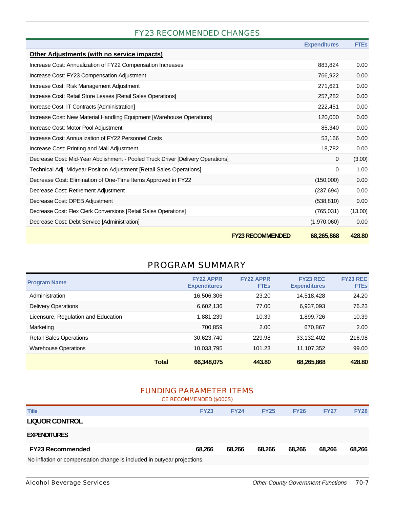#### FY23 RECOMMENDED CHANGES

|                                                                                 | <b>Expenditures</b>                   | <b>FTES</b>        |
|---------------------------------------------------------------------------------|---------------------------------------|--------------------|
| <b>Other Adjustments (with no service impacts)</b>                              |                                       |                    |
| Increase Cost: Annualization of FY22 Compensation Increases                     | 883,824                               | 0.00               |
| Increase Cost: FY23 Compensation Adjustment                                     | 766,922                               | 0.00               |
| Increase Cost: Risk Management Adjustment                                       | 271,621                               | 0.00               |
| Increase Cost: Retail Store Leases [Retail Sales Operations]                    | 257,282                               | 0.00               |
| Increase Cost: IT Contracts [Administration]                                    | 222,451                               | 0.00               |
| Increase Cost: New Material Handling Equipment [Warehouse Operations]           | 120,000                               | 0.00               |
| Increase Cost: Motor Pool Adjustment                                            |                                       | 85,340<br>0.00     |
| Increase Cost: Annualization of FY22 Personnel Costs                            |                                       | 53,166<br>0.00     |
| Increase Cost: Printing and Mail Adjustment                                     |                                       | 18.782<br>0.00     |
| Decrease Cost: Mid-Year Abolishment - Pooled Truck Driver [Delivery Operations] |                                       | (3.00)<br>$\Omega$ |
| Technical Adj: Midyear Position Adjustment [Retail Sales Operations]            |                                       | 1.00<br>0          |
| Decrease Cost: Elimination of One-Time Items Approved in FY22                   | (150,000)                             | 0.00               |
| Decrease Cost: Retirement Adjustment                                            | (237, 694)                            | 0.00               |
| Decrease Cost: OPEB Adjustment                                                  | (538, 810)                            | 0.00               |
| Decrease Cost: Flex Clerk Conversions [Retail Sales Operations]                 | (765, 031)                            | (13.00)            |
| Decrease Cost: Debt Service [Administration]                                    | (1,970,060)                           | 0.00               |
|                                                                                 | <b>FY23 RECOMMENDED</b><br>68,265,868 | 428.80             |

## PROGRAM SUMMARY

| <b>Program Name</b>                 |              | <b>FY22 APPR</b><br><b>Expenditures</b> | <b>FY22 APPR</b><br><b>FTEs</b> | <b>FY23 REC</b><br><b>Expenditures</b> | <b>FY23 REC</b><br><b>FTEs</b> |
|-------------------------------------|--------------|-----------------------------------------|---------------------------------|----------------------------------------|--------------------------------|
| Administration                      |              | 16,506,306                              | 23.20                           | 14,518,428                             | 24.20                          |
| <b>Delivery Operations</b>          |              | 6,602,136                               | 77.00                           | 6,937,093                              | 76.23                          |
| Licensure, Regulation and Education |              | 1,881,239                               | 10.39                           | 1,899,726                              | 10.39                          |
| Marketing                           |              | 700.859                                 | 2.00                            | 670.867                                | 2.00                           |
| <b>Retail Sales Operations</b>      |              | 30.623.740                              | 229.98                          | 33,132,402                             | 216.98                         |
| <b>Warehouse Operations</b>         |              | 10,033,795                              | 101.23                          | 11,107,352                             | 99.00                          |
|                                     | <b>Total</b> | 66,348,075                              | 443.80                          | 68,265,868                             | 428.80                         |

#### FUNDING PARAMETER ITEMS

| CE RECOMMENDED (\$000S)                                                 |             |             |             |             |             |             |  |
|-------------------------------------------------------------------------|-------------|-------------|-------------|-------------|-------------|-------------|--|
| <b>Title</b>                                                            | <b>FY23</b> | <b>FY24</b> | <b>FY25</b> | <b>FY26</b> | <b>FY27</b> | <b>FY28</b> |  |
| <b>LIQUOR CONTROL</b>                                                   |             |             |             |             |             |             |  |
| <b>EXPENDITURES</b>                                                     |             |             |             |             |             |             |  |
| <b>FY23 Recommended</b>                                                 | 68.266      | 68,266      | 68.266      | 68.266      | 68.266      | 68,266      |  |
| No inflation or compensation change is included in outyear projections. |             |             |             |             |             |             |  |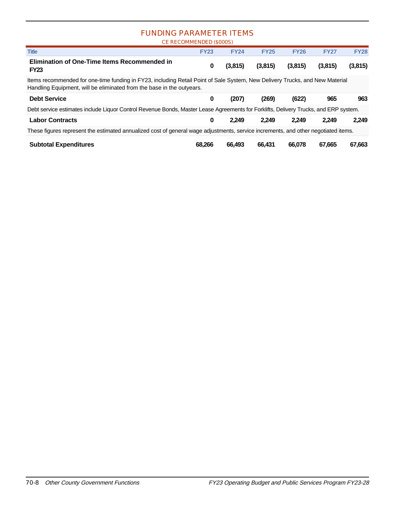#### FUNDING PARAMETER ITEMS

|                                                                                                                                                                                                       | CE RECOMMENDED (\$000S) |             |             |             |             |             |
|-------------------------------------------------------------------------------------------------------------------------------------------------------------------------------------------------------|-------------------------|-------------|-------------|-------------|-------------|-------------|
| <b>Title</b>                                                                                                                                                                                          | <b>FY23</b>             | <b>FY24</b> | <b>FY25</b> | <b>FY26</b> | <b>FY27</b> | <b>FY28</b> |
| Elimination of One-Time Items Recommended in<br><b>FY23</b>                                                                                                                                           | 0                       | (3,815)     | (3,815)     | (3,815)     | (3,815)     | (3,815)     |
| Items recommended for one-time funding in FY23, including Retail Point of Sale System, New Delivery Trucks, and New Material<br>Handling Equipment, will be eliminated from the base in the outyears. |                         |             |             |             |             |             |
|                                                                                                                                                                                                       |                         |             |             |             |             |             |
| <b>Debt Service</b>                                                                                                                                                                                   | 0                       | (207)       | (269)       | (622)       | 965         | 963         |
| Debt service estimates include Liquor Control Revenue Bonds, Master Lease Agreements for Forklifts, Delivery Trucks, and ERP system.                                                                  |                         |             |             |             |             |             |
| <b>Labor Contracts</b>                                                                                                                                                                                | 0                       | 2.249       | 2.249       | 2.249       | 2.249       | 2,249       |
| These figures represent the estimated annualized cost of general wage adjustments, service increments, and other negotiated items.                                                                    |                         |             |             |             |             |             |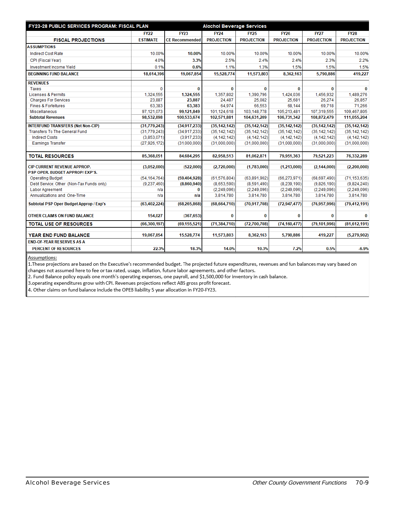| FY23-28 PUBLIC SERVICES PROGRAM: FISCAL PLAN |                 |                       | <b>Alochol Beverage Services</b> |                   |                   |                   |                   |
|----------------------------------------------|-----------------|-----------------------|----------------------------------|-------------------|-------------------|-------------------|-------------------|
|                                              | <b>FY22</b>     | <b>FY23</b>           | <b>FY24</b>                      | <b>FY25</b>       | <b>FY26</b>       | <b>FY27</b>       | <b>FY28</b>       |
| <b>FISCAL PROJECTIONS</b>                    | <b>ESTIMATE</b> | <b>CE Recommended</b> | <b>PROJECTION</b>                | <b>PROJECTION</b> | <b>PROJECTION</b> | <b>PROJECTION</b> | <b>PROJECTION</b> |
| <b>ASSUMPTIONS</b>                           |                 |                       |                                  |                   |                   |                   |                   |
| <b>Indirect Cost Rate</b>                    | 10.00%          | 10.00%                | 10.00%                           | 10.00%            | 10.00%            | 10.00%            | 10.00%            |
| CPI (Fiscal Year)                            | 4.0%            | 3.3%                  | 2.5%                             | 2.4%              | 2.4%              | 2.3%              | 2.2%              |
| Investment Income Yield                      | 0.1%            | 0.6%                  | 1.1%                             | 1.3%              | 1.5%              | 1.5%              | 1.5%              |
| <b>BEGINNING FUND BALANCE</b>                | 18,614,396      | 19,067,854            | 15,528,774                       | 11,573,803        | 8,362,163         | 5,790,886         | 419,227           |
| <b>REVENUES</b>                              |                 |                       |                                  |                   |                   |                   |                   |
| Taxes                                        | $\Omega$        | 0                     | 0                                | $\Omega$          | $\bf{0}$          | $\bf{0}$          | $\bf{0}$          |
| <b>Licenses &amp; Permits</b>                | 1,324,555       | 1,324,555             | 1,357,802                        | 1,390,796         | 1,424,036         | 1,456,932         | 1.489.276         |
| <b>Charges For Services</b>                  | 23,887          | 23,887                | 24,487                           | 25,082            | 25,681            | 26,274            | 26,857            |
| <b>Fines &amp; Forfeitures</b>               | 63.383          | 63,383                | 64.974                           | 66.553            | 68.144            | 69.718            | 71,266            |
| <b>Miscellaneous</b>                         | 97,121,073      | 99,121,849            | 101,124,618                      | 103,148,778       | 105,213,481       | 107,319,555       | 109,467,805       |
| <b>Subtotal Revenues</b>                     | 98,532,898      | 100,533,674           | 102,571,881                      | 104,631,209       | 106,731,342       | 108,872,479       | 111,055,204       |
| <b>INTERFUND TRANSFERS (Net Non-CIP)</b>     | (31, 779, 243)  | (34,917,233)          | (35, 142, 142)                   | (35, 142, 142)    | (35, 142, 142)    | (35, 142, 142)    | (35, 142, 142)    |
| <b>Transfers To The General Fund</b>         | (31,779,243)    | (34.917.233)          | (35, 142, 142)                   | (35, 142, 142)    | (35, 142, 142)    | (35, 142, 142)    | (35, 142, 142)    |
| <b>Indirect Costs</b>                        | (3,853,071)     | (3,917,233)           | (4, 142, 142)                    | (4, 142, 142)     | (4, 142, 142)     | (4, 142, 142)     | (4, 142, 142)     |
| <b>Earnings Transfer</b>                     | (27, 926, 172)  | (31,000,000)          | (31,000,000)                     | (31,000,000)      | (31,000,000)      | (31,000,000)      | (31,000,000)      |
|                                              |                 |                       |                                  |                   |                   |                   |                   |
| <b>TOTAL RESOURCES</b>                       | 85,368,051      | 84,684,295            | 82,958,513                       | 81,062,871        | 79,951,363        | 79,521,223        | 76,332,289        |
| <b>CIP CURRENT REVENUE APPROP.</b>           | (3,052,000)     | (522,000)             | (2,720,000)                      | (1,783,000)       | (1,213,000)       | (2, 144, 000)     | (2,200,000)       |
| PSP OPER. BUDGET APPROP/EXP'S.               |                 |                       |                                  |                   |                   |                   |                   |
| <b>Operating Budget</b>                      | (54, 164, 764)  | (59, 404, 928)        | (61, 576, 804)                   | (63,891,902)      | (66, 273, 971)    | (68, 697, 490)    | (71, 153, 635)    |
| Debt Service: Other (Non-Tax Funds only)     | (9,237,460)     | (8,860,940)           | (8,653,590)                      | (8,591,490)       | (8,239,190)       | (9,826,190)       | (9,824,240)       |
| Labor Agreement                              | n/a             | 0                     | (2,249,096)                      | (2,249,096)       | (2,249,096)       | (2,249,096)       | (2,249,096)       |
| Annualizations and One-Time                  | n/a             | n/a                   | 3,814,780                        | 3,814,780         | 3,814,780         | 3,814,780         | 3,814,780         |
| Subtotal PSP Oper Budget Approp / Exp's      | (63, 402, 224)  | (68, 265, 868)        | (68, 664, 710)                   | (70, 917, 708)    | (72, 947, 477)    | (76, 957, 996)    | (79, 412, 191)    |
| OTHER CLAIMS ON FUND BALANCE                 | 154,027         | (367, 653)            | 0                                | 0                 | 0                 | 0                 | 0                 |
| <b>TOTAL USE OF RESOURCES</b>                | (66, 300, 197)  | (69, 155, 521)        | (71, 384, 710)                   | (72,700,708)      | (74, 160, 477)    | (79, 101, 996)    | (81, 612, 191)    |
| YEAR END FUND BALANCE                        | 19,067,854      | 15,528,774            | 11,573,803                       | 8,362,163         | 5,790,886         | 419,227           | (5,279,902)       |
| <b>END-OF-YEAR RESERVES AS A</b>             |                 |                       |                                  |                   |                   |                   |                   |
| <b>PERCENT OF RESOURCES</b>                  | 22.3%           | 18.3%                 | 14.0%                            | 10.3%             | 7.2%              | 0.5%              | $-6.9%$           |
|                                              |                 |                       |                                  |                   |                   |                   |                   |

Assumptions:

1. These projections are based on the Executive's recommended budget. The projected future expenditures, revenues and fun balances may vary based on changes not assumed here to fee or tax rated, usage, inflation, future labor agreements, and other factors.

2. Fund Balance policy equals one month's operating expenses, one payroll, and \$1,500,000 for inventory in cash balance.

3.operating expenditures grow with CPI. Revenues projections reflect ABS gross profit forecast.

4. Other claims on fund balance include the OPEB liability 5 year allocation in FY20-FY23.